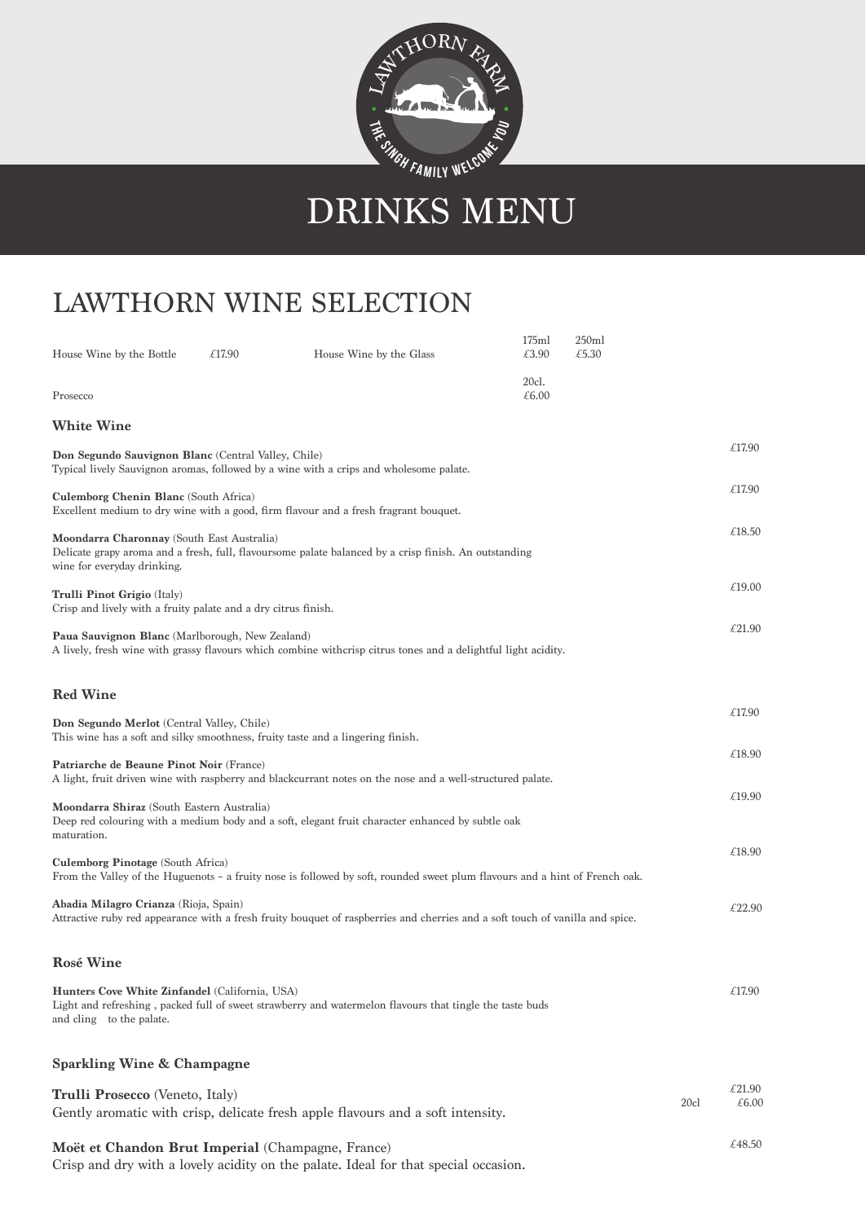

## DRINKS MENU

## LAWTHORN WINE SELECTION

| House Wine by the Bottle                                                                                                                      | £17.90 | House Wine by the Glass                                                                                                       | 175ml<br>£3.90 | 250ml<br>£5.30 |      |                 |
|-----------------------------------------------------------------------------------------------------------------------------------------------|--------|-------------------------------------------------------------------------------------------------------------------------------|----------------|----------------|------|-----------------|
| Prosecco                                                                                                                                      |        |                                                                                                                               | 20cl.<br>£6.00 |                |      |                 |
| <b>White Wine</b>                                                                                                                             |        |                                                                                                                               |                |                |      |                 |
| Don Segundo Sauvignon Blanc (Central Valley, Chile)<br>Typical lively Sauvignon aromas, followed by a wine with a crips and wholesome palate. |        |                                                                                                                               |                |                |      |                 |
| <b>Culemborg Chenin Blanc</b> (South Africa)<br>Excellent medium to dry wine with a good, firm flavour and a fresh fragrant bouquet.          |        |                                                                                                                               |                |                |      |                 |
| Moondarra Charonnay (South East Australia)<br>wine for everyday drinking.                                                                     |        | Delicate grapy aroma and a fresh, full, flavoursome palate balanced by a crisp finish. An outstanding                         |                |                |      | £18.50          |
| <b>Trulli Pinot Grigio</b> (Italy)<br>Crisp and lively with a fruity palate and a dry citrus finish.                                          |        |                                                                                                                               |                |                |      | £19.00          |
| <b>Paua Sauvignon Blanc</b> (Marlborough, New Zealand)                                                                                        |        | A lively, fresh wine with grassy flavours which combine withcrisp citrus tones and a delightful light acidity.                |                |                |      | £21.90          |
| <b>Red Wine</b>                                                                                                                               |        |                                                                                                                               |                |                |      | £17.90          |
| Don Segundo Merlot (Central Valley, Chile)                                                                                                    |        | This wine has a soft and silky smoothness, fruity taste and a lingering finish.                                               |                |                |      |                 |
| Patriarche de Beaune Pinot Noir (France)                                                                                                      |        | A light, fruit driven wine with raspberry and blackcurrant notes on the nose and a well-structured palate.                    |                |                |      | £18.90          |
| Moondarra Shiraz (South Eastern Australia)<br>maturation.                                                                                     |        | Deep red colouring with a medium body and a soft, elegant fruit character enhanced by subtle oak                              |                |                |      | £19.90          |
| <b>Culemborg Pinotage (South Africa)</b>                                                                                                      |        | From the Valley of the Huguenots - a fruity nose is followed by soft, rounded sweet plum flavours and a hint of French oak.   |                |                |      | £18.90          |
| Abadia Milagro Crianza (Rioja, Spain)                                                                                                         |        | Attractive ruby red appearance with a fresh fruity bouquet of raspberries and cherries and a soft touch of vanilla and spice. |                |                |      | £22.90          |
| <b>Rosé Wine</b>                                                                                                                              |        |                                                                                                                               |                |                |      |                 |
| Hunters Cove White Zinfandel (California, USA)<br>and cling to the palate.                                                                    |        | Light and refreshing, packed full of sweet strawberry and watermelon flavours that tingle the taste buds                      |                |                |      | £17.90          |
| <b>Sparkling Wine &amp; Champagne</b>                                                                                                         |        |                                                                                                                               |                |                |      |                 |
| Trulli Prosecco (Veneto, Italy)                                                                                                               |        | Gently aromatic with crisp, delicate fresh apple flavours and a soft intensity.                                               |                |                | 20c1 | £21.90<br>£6.00 |
| Moët et Chandon Brut Imperial (Champagne, France)                                                                                             |        |                                                                                                                               |                |                |      | £48.50          |

Crisp and dry with a lovely acidity on the palate. Ideal for that special occasion.